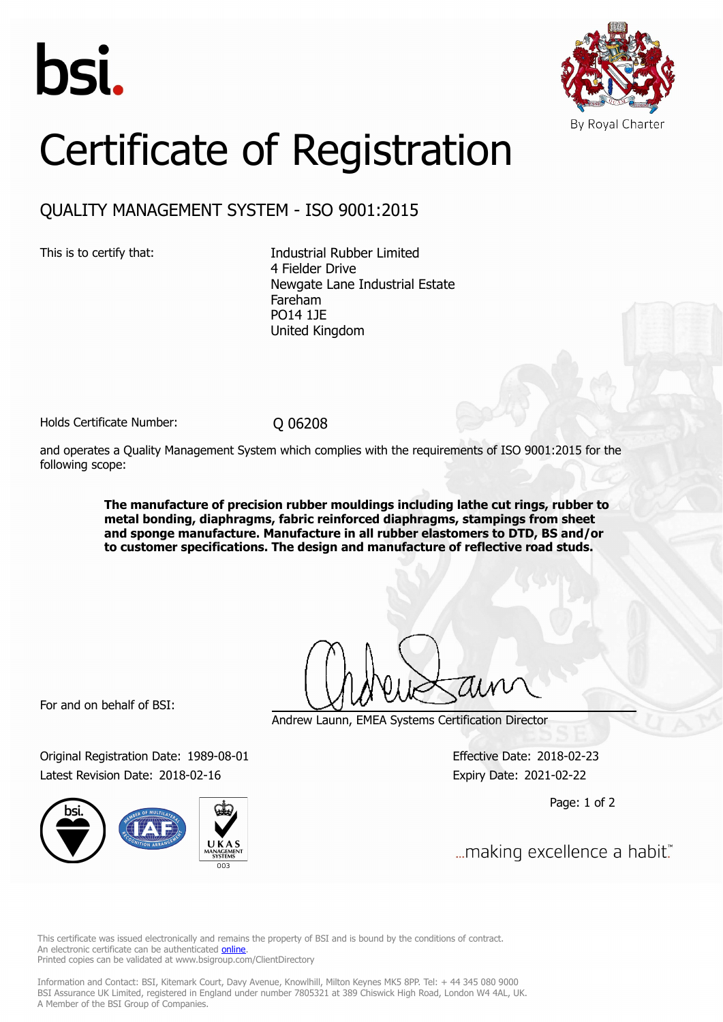



## Certificate of Registration

## QUALITY MANAGEMENT SYSTEM - ISO 9001:2015

This is to certify that: Industrial Rubber Limited 4 Fielder Drive Newgate Lane Industrial Estate Fareham PO14 1JE United Kingdom

Holds Certificate Number: 0 06208

and operates a Quality Management System which complies with the requirements of ISO 9001:2015 for the following scope:

> **The manufacture of precision rubber mouldings including lathe cut rings, rubber to metal bonding, diaphragms, fabric reinforced diaphragms, stampings from sheet and sponge manufacture. Manufacture in all rubber elastomers to DTD, BS and/or to customer specifications. The design and manufacture of reflective road studs.**

For and on behalf of BSI:

Original Registration Date: 1989-08-01 Effective Date: 2018-02-23 Latest Revision Date: 2018-02-16 Expiry Date: 2021-02-22



Andrew Launn, EMEA Systems Certification Director

Page: 1 of 2

... making excellence a habit."

This certificate was issued electronically and remains the property of BSI and is bound by the conditions of contract. An electronic certificate can be authenticated **[online](https://pgplus.bsigroup.com/CertificateValidation/CertificateValidator.aspx?CertificateNumber=Q+06208&ReIssueDate=16%2f02%2f2018&Template=uk)**. Printed copies can be validated at www.bsigroup.com/ClientDirectory

Information and Contact: BSI, Kitemark Court, Davy Avenue, Knowlhill, Milton Keynes MK5 8PP. Tel: + 44 345 080 9000 BSI Assurance UK Limited, registered in England under number 7805321 at 389 Chiswick High Road, London W4 4AL, UK. A Member of the BSI Group of Companies.